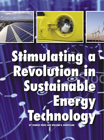





# **Stimulating a Revolution in Sustainable Energy Technology**

**BY CHARLES WEISS AND WILLIAM B. BONVILLIAN**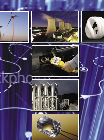













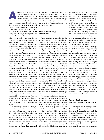**Access** consensus is growing that the environmental, economic, and geopolitical costs of the world's addiction to fossil fuels justify a major U.S. federal prothe environmental, economic, and geopolitical costs of the world's addiction to fossil gram to stimulate technological innovation in energy. President Obama and Congress made a down payment on such a program in the February 2009 stimulus bill,<sup>1</sup> advancing some \$39 billion toward energy technologies, including \$5 billion in research, although the administration's follow-on technology program in the climate bill is now in jeopardy. Given the pervasive role of energy throughout the economy and the international character of the climate crisis, many urge the creation of a program the size of the Manhattan or the Apollo Projects. Beyond the growing consensus for policy action, how should such a program be organized?

 An initial rationale for such a program is that market mechanisms alone, such as a carbon charge (a cap-and-trade regime or carbon tax), cannot stimulate the development and deployment of energy technologies fast enough to meet the urgent national need, nor can it overcome the built-in bias in favor of technologies based on fossil fuels. Fossil fuels are convenient and cheap if externalities like war and environment are excluded. The fossil fuel economy is huge, mature, heavily subsidized, pervasive, adept at fending off competition, deeply entrenched in the economy and the political system, and sustained by public expectation of cheap energy. Except in limited circumstances, a new energy technology must compete at scale with existing technology from the moment of its market launch, a daunting prospect. As a result, any innovation in energy technology faces an uneven playing field.

A carbon charge, combined with regulatory standards and other policies to force more efficient energy use, is essential to guide the path of innovation into an environmentally sustainable direction, but it is only part of the answer. The many obstacles on the path from new idea to widespread deployment require that such measures be complemented by direct support, not just at the research and

development (R&D) stage, but during the entire process of innovation. Despite the new administration's efforts, policies to increase demand for sustainable energy technologies are likely to be slow in coming and, at the beginning, loaded with loopholes and giveaways.

### **Why a Technology Revolution?**

Cannot existing technologies do the job? Isn't the call for research and innovation just an excuse for inaction? Some alternative technologies—chiefly windelectric and concentrating solar—are nearly competitive with fossil fuels, and a long list of improved practices<sup>2</sup> could, if adopted, avert substantial carbon dioxide emissions. Putting these approaches into practice, however, is far from simple. What, for example, is the likelihood of a 50 percent reduction in car travel for two billion vehicles by 2054, as Princeton professors Stephen Pacala and Robert Socolow suggest as one of 15 actions to stabilize carbon emissions?3

In any case, why rely on existing technologies when the potential exists to improve them?4 This would be like forcing the aviation industry to stick with biplanes after 1920. For example, until basic scientific problems in storage technologies are solved, these inadequacies will limit the long-run contribution of intermittent sources of renewable energy like wind and solar and hold their energy market share at around 10 percent each.

One problem lies in the fact that energy research has been starved for decades, in part due to the wildly fluctuating price of energy that discourages long-term investments in either the public or private sectors. Oil prices may have hit a peak of \$140 per barrel the summer of 2008, but they were below \$20 per barrel as recently as 1998, and in February, they were below \$50 per barrel. According to one leading estimate,<sup>5</sup> private-sector expenditures on R&D in 2007 amounted to less than 1 percent of energy industry revenues, less than half the average of 2.6 percent for U.S. industry as a whole

and a small fraction of the 15 percent or more of revenues invested by innovative industries like biopharmaceuticals and semiconductors. Public-sector energy R&D funding in 2007 was half its peak in 1980, and private-sector funding has suffered a similar fate. Even the flood of private venture capital into energy commercialization before the recent economic meltdown—reaching \$3 billion in 2007—was often directed to subsidized investments in existing technologies with political clout, most famously corn ethanol. These particular subsidies amounted to a counterproductive policy; one could call it "no lobbyist left behind."

 To be sure, even a small percentage of a \$1.5 trillion annual energy economy, coupled with limited government R&D, has produced over the past several decades a host of promising energy and energy conservation technologies that are now at all stages of R&D, plus a few, such as light-emitting diodes (LEDs) and off-grid solar, that have been successfully launched in limited niche markets. If these technologies are to be given a chance to emerge, they need support. On the other hand, since we do not really know which of the many competing ideas will turn out to be the most energy efficient and cost-effective, no particular emerging technology has any special claim on support. Thus, any government policies to encourage innovation should be as neutral as possible to create a level playing field that allows alternatives to compete on their technoeconomic and, once proper policies are in place, environmental merits.

# **Energy Technology and the Theory of Innovation**

According to the "technology push," "linear," or "pipeline" model of innovation, research intended to push back the frontiers of knowledge—ideally motivated by sheer curiosity about the workings of the natural world—will lead to radical, pathbreaking inventions.6 These create new functionality and make it possible to do things that have never been done before: watch television, play video clips,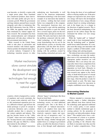scan barcodes, or electrify a region with a single power plant. Once translated into commercial products, these innovations will make profits and give rise to economic growth. While the government and large industry pursued basic research alongside each other in institutions like the Bell Laboratories from the 1950s to the 1980s, the pipeline model has long been dominated by federal support for basic research. The assumption has been that commercialization and widespread deployment will take place without further government intervention.

Basic research in the United States tends to take place in universities and research institutes with federal support, whereas product development takes place in private industry. Compared to the technology transition process in other

Market mechanisms alone cannot stimulate the development and deployment of energy technologies fast enough to meet the urgent national need.

countries, which is hampered by a variety of regulatory and social constraints, the U.S. system works relatively well. Even so, this institutional separation gives rise to a difficult-to-finance gap between the initial prototype or proof of concept in a university laboratory and a commercializable product that is attractive to the venture capitalist and industry. This gap has become known as the "valley of death," where most new technologies die.7 In many historic cases, including the Internet, this gap was filled by a timely intervention by the military.8

The emphasis on radical innovations

embodying new functionality is well suited to the American temperament. Information technology is the most noted example of an innovation that landed in new territory—nothing that had existed before was comparable to the computer. The stereotypical American does not stick around to cope with the underlying problems but prefers to pack the family into a covered wagon, push over the next mountain chain, and open an entirely new frontier. We rarely turn back to deal with the problems connected with the established technology we left behind: we create biotechnology but do not fix the health delivery system; we develop solar photovoltaic cells but allow the electricity grid to languish. We are not good at dealing with the problems created by long-standing, entrenched, pervasive, and



efficient "legacy" technologies like those based on fossil fuels.

To deal with such established, complex technology sectors, we need additional conceptual tools. One is the theory of "market pull" or "induced innovation," which in its simplest form states that innovation tends to minimize the use of relatively expensive inputs and maximize the use of inexpensive ones.<sup>9</sup> As a result, a change in the price of a key input like energy, whether through pure market forces or a change in government policy, can affect the direction of innovation, at first through small adjustments

like closing the doors of air-conditioned offices or buying smaller cars. If the price changes are expected to last, more expensive energy will lead to the development and introduction of new, energy-efficient products based on existing technologies and, in the longer run, to a change in the direction of applied research. This is the basic theoretical underpinning of the proposal for the carbon charge that has dominated the debate over new energy technology.

While the "market pull" or "induced" model tends to favor incremental innovation, the "technology push" or "pipeline" model favors radical innovation. In a complex sector like energy, new innovation will require a synthesis of both models: a technology strategy and a pricing program.

The induced innovation model assumes that a technology can enter the marketplace more or less automatically once the appropriate market incentives are well established. This is not always the case, especially when it faces competition from established technologies, such as those dependent on fossil fuels. Obstacles to innovations based on the results of longterm research may appear at the classic valley of death between proof of concept and first product. Others may appear at a later stage, when the product is ready for market launch at scale. The latter stage is particularly critical for innovation in complex established sectors like energy.

#### **Overcoming Obstacles to Market Launch**

Policies intended to overcome these obstacles require a further elaboration quite different from those derived from the technology push approach traditional to U.S. science policy. A new analytic method to identify institutional gaps in existing policies for the promotion of innovation can help policymakers design them.10 This method arises from a careful assessment of a dozen or so promising energy technologies, classified into groups according to the obstacles they are likely to encounter once they near the point of market competitiveness. From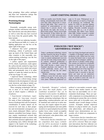these groupings, three policy packages and three new institutions emerge that will help overcome the obstacles.

#### **Promising Energy Technologies**

Potentially sustainable energy technologies include well-known innovations like wind-electric and solar photovoltaics, as well as some that may have received less focus from the general public. The latter include

• LEDs, which are replacing incandescent and fluorescent bulbs in a variety of lighting application (see the box on the upper right of this page);

• enhanced "hot rocks" geothermal technology, which, if perfected, could open up much of the United States and other countries to this renewable, noncarbon-emitting technology (see the box on the right of this page);

• carbon capture and sequestration (CCS), which, if perfected, could capture the carbon dioxide emitted by large fixed installations like power plants and cement kilns and permanently store it in saline aquifers or under the seabed (see the box at the top of page 15); and

• improved battery technology, which would overcome a critical energy storage bottleneck in the development of solar and wind electricity and plug-in hybrid cars (see the box on the bottom of page 15).

These emerging technologies fall into one or more of six broad categories, each of which requires a different set of policies:

• *Experimental technologies requiring support for long-range research.* For many of these technologies, such as fusion or hydrogen fuel cells for transport, consideration of market launch can be reserved for such time as their properties and environmental consequences are more clearly delineated. Others, such as batteries assembled from benign viruses, may require translational research that links breakthrough results in science with their potential practical applications and, in promising cases, follows through with support to the launch of the technology through the prototype stage.

# **LIGHT EMITTING DIODES (LEDS)**

LEDs are smaller, more flexible, longer lasting, and potentially much more efficient than either fluorescent or incandescent light bulbs. They consist of a sandwich of semiconductors so constituted that it converts electric voltage directly into light—the reverse of photovoltaic panels, which convert light into electricity. If they follow the costcutting curve of other semiconductors, they might be half the price of fluorescents in 10 years. Widespread use of LEDs could save as much as 10 percent of all electricity use worldwide. The market for LEDs as specialty lighting already exceeds that for incandescent lighting. Presently available inorganic LEDs emit light at a set of precise wavelengths that differs from natural white light. Further research is needed to cut production costs and achieve more natural light qualities.

# **ENHANCED ("HOT ROCKS") GEOTHERMAL ENERGY**

Today's geothermal technology extracts the heat caused by the decay of radioactive elements in the Earth's crust from water in natural underground reservoirs near the hot rocks along tectonic plates. In contrast, enhanced geothermal—a promising new renewable technology that could become a major source of baseload electricity over much of the world—artificially inserts water via an injection well into dry, hot subterranean rocks.

Modern technology enables deeper drilling to access hot rock areas across much of the globe, not just along tectonic plates. Enhanced geothermal systems now being developed and tested in a handful of developed nations involve production wells, drilled near hot rocks to extract the heated water or steam and feed it into heat exchangers, turbines, or other devices to produce useful energy. The systems use explosives or hydraulic pressure to fracture the rocks between the two wells and form an artificial underground reservoir of hot water flowing between the two wells. The hot, extracted water is recycled so that pollution and water use are minimized. Further research and demonstrations at scale are needed to lower the costs of drilling and reservoir formation.

• *Potentially "disruptive" technologies—those that might displace wellestablished incumbents11—that can be launched in niche markets*. In addition to needing support for research and development, promising technologies that are approaching commercialization and can be launched and scaled up in niche markets may also require support for prototyping and development and some public incentives to speed adoption beyond what market forces alone would accomplish. These technologies include LEDs, offgrid wind power, solar photovoltaic, and solar thermal power.

• *Innovations that face immediate market competition from legacy technologies but will be uncontested*. A number of technologies are unlikely to provoke

political or non-market economic opposition to their market launch, nor will they have an unavoidable cost or environmental disadvantage. These are typically components in existing platforms or technological systems like cars or electric power grids and, in favorable cases, can stimulate major overall changes in these systems. Examples include improved batteries in plug-in hybrid cars, on-grid solar photovoltaic, and enhanced geothermal (once demonstrations are successful), all of which are components in larger systems.

• *Innovations that face immediate market competition from legacy technologies and will be contested.* These are component innovations that have inherent cost disadvantages and can be expected to face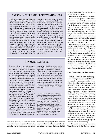## **CARBON CAPTURE AND SEQUESTRATION (CCS)**

The United States, China, and India have huge coal reserves that supply the bulk of their cheap baseload electric power and, unfortunately, their planet-warming carbon dioxide emissions. CCS technology would capture the carbon dioxide at large fixed installations like electricgenerating plants or cement kilns, put it into a supercritical (near liquid) state, transport it by pipeline, and inject it into permanent storage in saline aquifer formations, which are pervasive in the United States and China (but not India), or beneath the ocean floor. This will add at least 25–30 percent to the consumer cost of coal-fired electricity, an added expense that utilities and consumers will not accept in the absence of a cap-andtrade regime, carbon tax, or regulatory requirement. Different aspects of this

technology have been tested or are in practical use at megaton scale, but total annual carbon dioxide emissions from coal-fired plants are thousands of times larger. At least several large, expensive demonstration projects under different geological conditions are needed to prove the safety and effectiveness of this technology, the permanence of the carbon dioxide storage, and the precise costs. These must be carefully designed and operated, and closely monitored to illuminate the best operating practices. Applying new capture technologies to retrofit existing powerplants, not just new ones, also requires research. International collaborative research on CCS, specifically including Indian and Chinese scientists and engineers, is a critical global priority.

## **IMPROVED BATTERIES**

The size, weight, power, recharge time, and expense of existing batteries limit the advance of hybrid and all-electric cars. Their cost also hinders the widespread deployment of intermittent sources of renewable energy, such as wind and solar, in the electric grid. New lithium ion batteries with nanotechnology features promise to be cheaper, lighter, and more powerful. What is more, they promise faster charging speeds, so that they can, for example, capture and store the regenerative energy of a rapidly braking car for reuse.<sup>1</sup> All-electric cars using these advanced batteries will save energy and improve automobile performance, although the balance between these two objectives depends on government policy and consumer choice. Fifty-mile range, fuel efficiency of 150 miles per gallon, and 0–60 miles-per-hour acceleration in four seconds are all within sight for a plug-in hybrid car that can be charged overnight—or more rapidly if recharging advances continue—from a household electric outlet. Electric cars are intrinsically more energy-efficient than those run by internal combustion engines, but

more carbon dioxide emissions can be averted if the extra electricity they need is generated from renewable sources.

In addition to nanotechnology-based battery features, a series of major storage advances that could prove transformative is emerging: carbon nanotube-based ultracapacitors; benign viruses that selfassemble into battery components; and artificial photosynthesis, with the development of an inexpensive catalyst to cleave water into hydrogen and oxygen for storage.<sup>2</sup>

2. For more on nanotube-based ultracapacitators, see D. Halber, "Researchers Fired Up over New Battery," *MIT Tech Talk* 50, no. 16: 1, 5. For more on batteries using viruses, see Y. J. Lee et al., "Fabricating Genetically Engineered High-Power Lithium-Ion Batteries Using Multiple Virus Genes," *Science* 324, no. 5930 (22 May 2009): 1051–55. For more on artificial photosynthesis, see M. W. Kanan and D. G. Nocera, "In Situ Formation of an Oxygen-Evolving Catalyst in Neutral Water Containing Phosphate and Co<sup>2+</sup>," Science 321, no. 5892 (22 August 2008): 1072–75.

economic, political, or other nonmarket opposition from recipient industries that must be overcome, or policy objections

from advocacy groups that must be met, over and above the obstacles faced by the preceding categories. Examples include CCS, cellulosic biofuels, and also fourthgeneration nuclear power.

• *Incremental innovations in conservation and end-use efficiency.* Efficiency in established and new technologies offers an ongoing source of energy savings. The deployment of innovations such as improved internal combustion engines, building technologies, efficient appliances, improved lighting, and new technologies for electric power distribution is limited by the short time horizons of potential buyers and users, who typically refuse to accept extra initial costs unless the payback period is very short.

• *Improvements in manufacturing technologies and processes.* Entry of new technologies is limited by cost barriers that can be cut by manufacturing advances. The improvements needed to scale up manufacturing so as to drive down costs, improve efficiency, and move efficient new energy products into the market more quickly are likely to be inhibited by the reluctance of cautious investors to accept the risk of increasing production capacity in the absence of an assured market.

#### **Policies to Support Innovation**

Policies classified into technologyneutral packages can be matched to these six technology groupings, making it possible to fit a policy package to each launch pathway by which a new technology can arrive in a market at scale. This approach is the opposite of the present pattern of energy legislation. Congress now writes its energy bills by giving each technology a separate title with a unique form and level of financial support depending on the technology's political muscle. To stimulate the technologies needed to reduce carbon dioxide emissions while promoting technology neutrality, it is critical that Congress shift this process, focusing not on specific technologies but on the technology support mechanisms. Innovators would then apply for this support depending on the prospective cost-efficiency and sustainability of their new technologies. The support policy elements include the following:

• *Front-end technology nurturing.* Technologies in all the above six catego-

<sup>1.</sup> B. Kang and G. Ceder, "Battery Materials for Ultrafast Charging and Discharging," *Nature* 458, no. 7235 (12 March 2009): 190–93.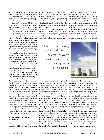ries need support before they are close to commercialization. This includes direct government funding for long- and shortterm R&D and for technology prototyping and demonstrations.

• *Back-end incentives.* Closing the price gap between emerging and incumbent technologies may require incentives ("carrots") in the form of tax credits, loan guarantees, low-cost financing, price guarantees, government procurement programs (including military procurement for quasi-civilian applications such as housing), new-product buy-down programs, and general and technologyspecific intellectual property policies. While experimental technologies are in too early a stage to need incentives, and many disruptive technologies may be able to emerge out of market niches into a competitive position without further incentives beyond R&D support, other categories are likely to require these carrots. These include secondary component technologies facing uncontested or contested launches, incremental innovations in technology for conservation and end use, and technologies for manufacturing processes and scale-up. Carrots may also be relevant to some disruptive technologies as they make the transition from niche areas to more general applicability.

• *Back-end regulatory and related mandates.* Regulatory and related mandates ("sticks") may be needed to encourage component technologies facing contested launches and also may be needed for some conservation and end-use technologies. In addition to emissions taxes, these include standards for particular energy technologies in building and construction and comparable sectors; regulatory mandates, such as renewable portfolio standards; and fuel-economy standards. A system of carbon charges, such as an effective capand-trade program, may make many of the back-end proposals listed above less necessary insofar as it would induce similar effects through pricing mechanisms.

#### **Institutions to Support Innovation**

Comparing existing energy innovation institutions with the innovation system requirements revealed by the analytic review described above highlights three major institutional gaps:

• the lack of an agency capable of doing translational research connecting potential scientific and technological breakthroughs to practical technology demonstration and implementation;

• the lack of a financial organization capable of financing large-scale demonstrations of new engineering-intensive technology, manufacturing scale-up, and conservation-oriented investments; and

> Global warming, energy security, and economic competitiveness are inextricably linked and raise tricky questions of international relations.

• the lack of an organization capable of formulating strategy and roadmaps for the systematic development and introduction of new energy technology, as well as the policies needed to take advantage of the opportunities and overcome the obstacles that it identifies. (See the box on page 17 for an example of how the policy elements and institutions would help advance improved battery technology.)

In February, the U.S. government filled the first of these gaps, at least in principle, by establishing and funding the Applied Research Projects Agency for Energy, commonly known as ARPA-E,<sup>12</sup> which received \$400 million as part of the stimulus bill.13 ARPA-E is modeled on the federal government's most successful translational research agency, the Defense Advanced Projects Research Agency (DARPA) of the Department of Defense. The details of the institutional design of

ARPA-E are critical to its effectiveness $14$ and are now under intensive study and implementation inside the Department of Energy. In essence, ARPA-E would aim to identify potential scientific breakthroughs and translate them through the proof of concept or prototype stages into energy technologies.

To bridge the second gap, the administration could establish a government corporation that would recruit engineering, financial, and management expertise of the kind found in the private sector and



operate outside the limits of government procurement systems in an environment comparable to that of a commercial firm. These capabilities would enable the corporation to finance demonstrations of engineering-intensive technology, as well as investments in conservation technology and accelerated manufacturing scale-up of promising equipment. Congress is now considering such an entity.15

A public-private partnership that undertakes strategic analysis of different aspects of energy technology; carries out roadmapping exercises for preferred trajectories of critically important technologies, including timetables and milestones; and identifies the policies and levels of support needed to make this timetable a reality would bridge the third gap. This entity should also assure a full environmental analysis of proposed new technologies so we do not travel down counterpro-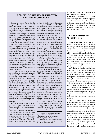# **POLICIES TO STIMULATE IMPROVED BATTERY TECHNOLOGY**

Batteries are critical for solving the storage problem inherent in intermittent renewable energy systems, especially solar and wind, as well as for increasing the viability of plug-in hybrid and, potentially, electric cars. As noted in the box on lithium ion batteries on page 15, the next generation of advanced batteries needs to be much cheaper than those in current use in hybrid cars. They also need to be smaller, lighter, and faster charging.

How could we accelerate battery advances? Batteries seem simple to the user but involve complicated electrochemical and physical processes on time scales ranging from seconds to a few quadrillionths  $(10^{-15})$  of a second, or the time it takes light to pass through the thickness of a human hair. Unsurprisingly, important outstanding questions remain about the basic scientific processes involved, requiring a substantial increase in support to basic research in universities and research institutes. First, then, battery technology is a promising experimental territory that justifies a major *R&D focus*.

Next in the process is an opportunity for *translational research*. Department of Energy's Advanced Research Projects Agency-Energy (ARPA-E) received \$400 million in February's stimulus legislation and is now being supported by Energy Secretary Steven Chu. The agency's primary task will be to identify potential scientific advances that can be translated over a three- to fiveyear period into technological breakthroughs at the proof-of-concept or prototype stages. Promising opportunities that could be accelerated by an ARPA-E process include recent advances in selfassembled batteries using benign viruses<sup>1</sup> or nanotechnology designs for rapid recharge.<sup>2</sup>

Translating research advances should not occur in a void. The importance of battery technology for sustainable transportation and electricity generation justifies larger-scale public involvement in speeding their development and deployment. To this end, a *collaborative roadmapping* exercise could be important. A formal energy technology strategy and follow-on roadmap involving public, private, and academic sectors is not yet

in place. In the interim, the Department of Energy and ARPA-E could collaborate with manufacturers of batteries and automobiles in developing a strategy and roadmap to speed the introduction of improved battery technologies into the marketplace faster than would occur through market processes alone.

By considering the implications of the new storage technology for the expansion of solar and wind energy into the national electric grid, this collaboration would smooth the path for this technology's entry. It will also be important to develop a strategy for identifying further research opportunities and speeding the large-scale introduction of improved batteries into ordinary hybrid, plug-in, and, potentially, electric cars as soon as their performance, safety, and reliability is satisfactorily proven. Once improved batteries are developed and proven, small models could be introduced into niche industries, like cordless hand tools, while U.S. car manufacturers test and then market them in high-end cars.

As new entrant technologies near market launch, expansion of support from ARPA-E and other sources will likely be needed for research on improved manufacturing processes, followed by lowcost financing by the proposed *government corporation* to speed technology demonstrations, scaled-up manufacturing, and deployment, thereby reducing cost barriers. Energy committees on the House and Senate sides of Congress are now considering legislation for such a financing entity. The market for plug-in hybrids or electrics themselves can be stimulated by further *back-end policy measures,* such as strengthened fuelefficiency standards, a carbon tax on vehicle emissions, military procurement of new vehicles, or even a direct subsidy or tax credit to private purchasers. Policies will also be needed to ensure that renewable sources of energy are used to charge the plug-in vehicles.

ductive dead ends. The best example of such a partnership in recent U.S. history is Sematech, a consortium of U.S. semiconductor chipmakers and their suppliers, initially funded by DARPA. It accelerated technology advances and manufacturing efficiencies that helped restore the competitiveness of the American semiconductor industry in the 1990s.

#### **A Global Approach to a Global Problem**

National solutions can at best only partially solve the problem of stimulating energy innovation: global warming, energy security, and economic competitiveness are inextricably linked and raise tricky questions of international relations.

China has recently surpassed the United States to become the world's leading emitter of carbon dioxide. It has been building 500-megawatt coalburning plants—the typical size of a large plant—at a rate of more than one a week.16 India is likewise building coal plants. On the other hand, given their late start in industrializing (combined with the long residence time of  $CO<sub>2</sub>$  in the atmosphere), the emerging economies of China, India, and the rest of the developing world will need decades to catch up with the aggregate  $CO<sub>2</sub>$  contribution of the developed industrialized economies. As the first beneficiaries of the Industrial Revolution, the advanced economies have an ethical and highly practical obligation to get their own energy houses in order and assist the developing countries in doing so.

Issues of innovation and research collaboration raise these ethical and practical issues in acute form. American, European, and Japanese companies rightfully see innovation as a source of future market competitiveness and expect to develop export markets and create green jobs as a result of their investments in this area. Spurring economic competition will be vital to encouraging technology innovation. This is yet another aspect of the important role of market forces in speeding a shift to a low-carbon environment.

<sup>1.</sup> Y. J. Lee et al., "Fabricating Genetically Engineered High-Power Lithium-Ion Batteries Using Multiple Virus Genes," *Science* 324, no. 5930 (22 May 2009): 1051–55.

<sup>2.</sup> B. Kang and G. Ceder, "Battery Materials for Ultrafast Charging and Discharging," *Nature* 458, no. 7235 (12 March 2009): 190–93.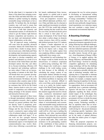On the other hand, it is important to the future of the planet that emerging economies like China and India limit their contribution to global warming by adopting sustainable energy technologies as fast as possible. To facilitate this, the developed countries may well need to ensure that these technologies are available on favorable terms to both their domestic and internationals markets. It will therefore be critical to get the balance right between business competition and incentives, on the one hand, and international technological collaboration, on the other.

Not all improved energy technology will come from the presently advanced economies. Indeed, the United States has scarcely been a leader in energy innovation in recent years, while India and China are making major investments in research, development, and manufacturing capacity and expect to develop competitive new products and industries as a result. It is in the interest of the United States and other developed nations that they and others do so, because technology efficiency will be improved and technology spillovers are more robust if there are an increasing number of entrants in this field. This will benefit their own economic development and environment<sup>17</sup> as well as the world environment. On balance, the more investments other countries make in their own improved energy technology, the better customers they will be for the United States. America needs to strive for a new model of competition *and* collaboration, taking advantage of the dynamic tension and interaction between each.

An important approach to these issues is through international collaboration on pre-competitive research—that is, applied research on general problems that does not directly result in proprietary products. The Pew Center on Global Climate Change and the Asia Society have just issued a constructive report setting forth a list of technical subjects on which such collaboration might well begin.18 If we can work out new synergies between nations on pre-competitive research, the international aspects of development and commercialization may resolve themselves since, following a successful market launch, multinational firms increasingly operate at a global scale to speed new technologies into world markets.

Even pre-competitive research may raise difficult diplomatic problems, however. China and India may be reluctant to make significant investments in technologies like CCS that would help mitigate global warming but that would also raise the cost of the coal-derived electric power that is critical to their plans for economic development. If the United States does adopt a carbon charge on domestic energy resources, there will be considerable political pressure from U.S. industry to impose a border adjustment tax on energy-intensive imports from countries that do not impose such a charge, lest the U.S. firms risk market capture from non-complying offshore competitors with significantly lower energy costs.

The potential for such technology border charges would no doubt increase the attractiveness of technical cooperation on carbon-saving technology like CCS. These charges also would pose a major challenge to the world trading system, not least because of the difficulty of calculating the energy content of any given import. Indeed, subsidies for energy production and use are so ubiquitous that the technical problems in imposing such charges may be extremely difficult to solve, even if they can be designed in such a way as to satisfy the formal requirements of the World Trade Organization.

The potential difficulties inherent in this situation suggest the need for a broad, frank, constructive international expert dialogue concerning the many perverse national subsidies and other policies, however politically entrenched, that contribute to environmentally and economically unsustainable energy production and use in virtually every country. Discussing existing national carbon energy subsidies could well be a first step to tackling this underlying and often unacknowledged problem. Such informal but semi-official discussions might be based in universities or private think tanks. They could raise awareness in the participating countries of the contribution of these policies to the global problem of climate change and prepare the way for serious progress in developing an international trading regime consistent with the requirements of energy sustainability.<sup>19</sup> Technical discussions along these lines can complement the more politically charged international negotiations over emissions targets that now constitute a major feature of international environmental diplomacy.

#### **A Daunting Challenge**

The management of ARPA-E and of the proposed government corporation for technology financing faces difficult challenges. First, the success of both will require staff who have industrial experience and technical know-how but also a feel for policy and the public interest. Second, all the agencies—from Department of Energy's Office of Science to its applied agencies like Energy Efficiency and Renewable Energy and Fossil Energy—involved in selecting competitive applications for stimulating energy technology will face the challenge of making technological judgments that are as consistent as possible with the principle of technology neutrality while recognizing that it is impossible to eliminate the element of judgment from their work. Suppose, for example, a company requests public financing for pipelines for the transportation of biofuels or of carbon dioxide for sequestration. Such an investment will specifically favor a particular technology. Agencies will also have to make careful judgments regarding the likely environmental impact of the technologies they are asked to support. At the policy level, government will have to decide the proper combination of sustainable energy and energy security. Technology neutrality is thus an aspiration rather than an invariable requirement. Even so, it is a principle worth striving for—the present dominance of technology-specific legislation risks locking in particular technologies driven not by the merits of optimal efficiency but rather the relative power of congressional lobbies.

Third, the proposed corporation for financing demonstration projects, conservation investments, and manufacturing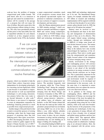scale-up faces the problem of keeping congressional pork within bounds. The pork barrel, after all, is as American as apple pie and cannot be excluded from indeed, will be essential to the passage of—a program that will cost many billions of dollars. But pork cannot drive this critical program without risking its integrity. The early Iowa presidential primary and the power of the farm lobby have led to unjustified subsidies for corn ethanol, a biofuel of, at best, marginal environmental benefit. In the 1970s, the Synfuels

 If we can work out new synergies between nations on pre-competitive research, the international aspects of development and commercialization may resolve themselves .

program, which was intended to help the United States achieve long-term energy independence by developing technologies for converting coal into liquid fuels, failed in part because it succumbed to congressional pressure to scale up experimental technologies to job-creating demonstration projects before they were ready to go beyond laboratory or pilot scale.20 This history is one reason it is important to create an independent corporation for technology financing protected as much as possible from congressional pressure.

Another danger of the pork barrel is that it tends to reward the sponsors of existing technology rather than the longer-range prospects of promising ideas that lack lobbying power. Here again, recent history offers discouraging precedent. As legislators worked to gather support for the Senate's Climate Security Act of 2007,<sup>21</sup> the first cap-and-trade bill to emerge from a major congressional committee, much of the prospective revenue stream from the proposed cap-and-trade regime was promised to industrial constituencies, to the near exclusion of support to research, development, and innovation.

After the Obama administration passed its 2009 stimulus package, $2<sup>22</sup>$  which contained no earmarks and billions to support R&D and various energy technologies, it proposed in its FY2010 budget documents a follow-on \$150 billion energy R&D and technology development pro-



gram to advance those jump-started initiatives. The president frequently cited the program, called the "Clean Energy Technology Fund," during the campaign. However, the climate change legislation emerging from the House Energy and Commerce Committee in May 2009 was subjected to the same bidding war from affected energy-intensive industries coal, utilities, autos, oil refineries, and biofuels—as the 2007 Senate climate bill. By the time the mark-up dust settled, the president's proposed fund was not funded, and energy R&D was set at less than a billion a year, while industry subsidies garnered many billions. Without a successor source in place, the new stimulus investments in energy and the technology momentum they are now building are in danger of falling off a funding cliff.

It is critical that funding for R&D survive these pressures if the massive needs for

energy R&D and technology deployment are to be met. The International Energy Agency, for example, estimates that some \$45 trillion in research and technology implementation will be required worldwide over the next four decades if we are to halve current carbon dioxide levels by 2050, the target set by G8 nations last summer.<sup>23</sup>

Industry must be involved in strategy development and share in the funding and management of demonstration projects if they are to be effective. This will require federal energy technology leaders, through new institutions such as ARPA-E, to bridge some broad cultural divides between sectors. The mature energy industry underfunds research. Many in the industry have only recently acknowledged the legitimacy of the climate problem. Their style is worlds apart from the entrepreneurial and sometimes highly focused culture of the champions of various emerging energy sources.

Ideally, involvement in the strategy and roadmapping process will convince legacy energy companies that it is in their interest to get ahead of the inevitable transition to an energy economy in which carbon dioxide emissions are no longer free. This is particularly important for the coal and utility industries, whose support and involvement would be required if CCS technology is to be developed and demonstrated at the necessary scale. At the same time, it is important to ensure that industry does not capture the exercise in its own short-term interests.

In its guidance to the strategy and roadmapping efforts, ARPA-E and the Department of Energy can encourage the involvement of the most far-sighted elements of the established energy industry, and gradually bring along the rest of that industry, while at the same time broadening the horizons of the proponents of the promising new technologies. In this way, a new generation of energy officials will help to form a broader view of national and global energy problems and how best to address them. This approach differs from the pattern of Sematech, the best existing model of collaborative roadmapping in an advanced industry. Here, the idea originated with the private sector,